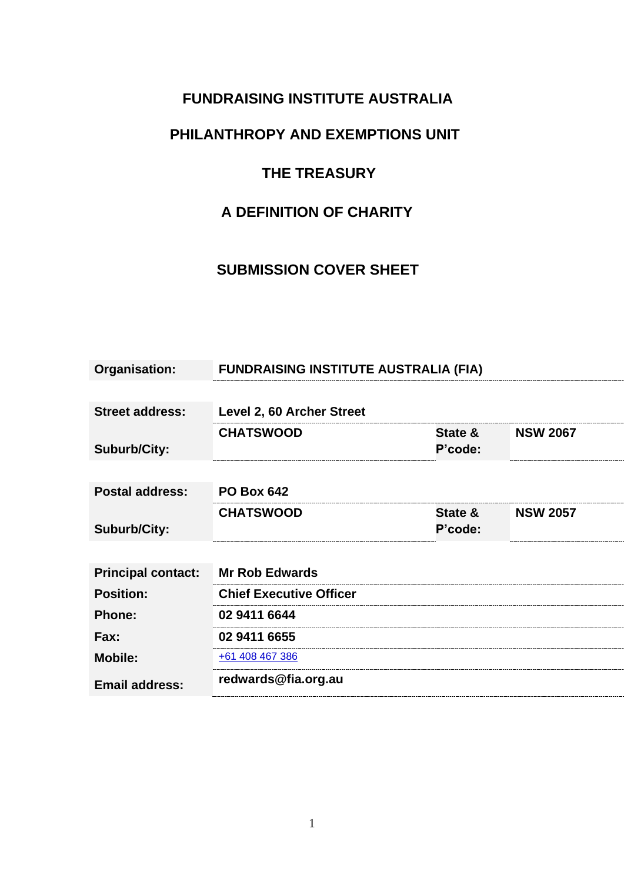## **FUNDRAISING INSTITUTE AUSTRALIA**

## **PHILANTHROPY AND EXEMPTIONS UNIT**

## **THE TREASURY**

# **A DEFINITION OF CHARITY**

## **SUBMISSION COVER SHEET**

| Organisation:             | <b>FUNDRAISING INSTITUTE AUSTRALIA (FIA)</b> |         |                 |
|---------------------------|----------------------------------------------|---------|-----------------|
|                           |                                              |         |                 |
| <b>Street address:</b>    | Level 2, 60 Archer Street                    |         |                 |
|                           | <b>CHATSWOOD</b>                             | State & | <b>NSW 2067</b> |
| <b>Suburb/City:</b>       |                                              | P'code: |                 |
|                           |                                              |         |                 |
| <b>Postal address:</b>    | <b>PO Box 642</b>                            |         |                 |
|                           | <b>CHATSWOOD</b>                             | State & | <b>NSW 2057</b> |
| <b>Suburb/City:</b>       |                                              | P'code: |                 |
|                           |                                              |         |                 |
| <b>Principal contact:</b> | <b>Mr Rob Edwards</b>                        |         |                 |
| <b>Position:</b>          | <b>Chief Executive Officer</b>               |         |                 |
| <b>Phone:</b>             | 02 9411 6644                                 |         |                 |
| Fax:                      | 02 9411 6655                                 |         |                 |
| <b>Mobile:</b>            | +61 408 467 386                              |         |                 |
| <b>Email address:</b>     | redwards@fia.org.au                          |         |                 |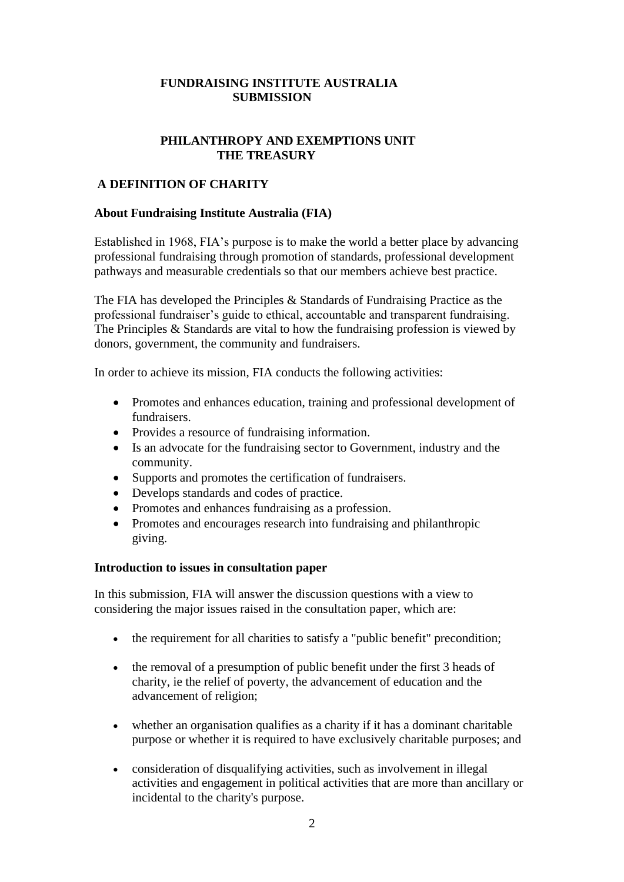### **FUNDRAISING INSTITUTE AUSTRALIA SUBMISSION**

### **PHILANTHROPY AND EXEMPTIONS UNIT THE TREASURY**

#### **A DEFINITION OF CHARITY**

#### **About Fundraising Institute Australia (FIA)**

Established in 1968, FIA's purpose is to make the world a better place by advancing professional fundraising through promotion of standards, professional development pathways and measurable credentials so that our members achieve best practice.

The FIA has developed the [Principles & Standards of Fundraising Practice](http://www.fia.org.au/pages/principles-standards-of-fundraising-practice.html) as the professional fundraiser's guide to ethical, accountable and transparent fundraising. The Principles & Standards are vital to how the fundraising profession is viewed by donors, government, the community and fundraisers.

In order to achieve its mission, FIA conducts the following activities:

- Promotes and enhances education, training and professional development of fundraisers.
- Provides a resource of fundraising information.
- Is an advocate for the fundraising sector to Government, industry and the community.
- Supports and promotes the certification of fundraisers.
- Develops standards and codes of practice.
- Promotes and enhances fundraising as a profession.
- Promotes and encourages research into fundraising and philanthropic giving.

#### **Introduction to issues in consultation paper**

In this submission, FIA will answer the discussion questions with a view to considering the major issues raised in the consultation paper, which are:

- the requirement for all charities to satisfy a "public benefit" precondition;
- the removal of a presumption of public benefit under the first 3 heads of charity, ie the relief of poverty, the advancement of education and the advancement of religion;
- whether an organisation qualifies as a charity if it has a dominant charitable purpose or whether it is required to have exclusively charitable purposes; and
- consideration of disqualifying activities, such as involvement in illegal activities and engagement in political activities that are more than ancillary or incidental to the charity's purpose.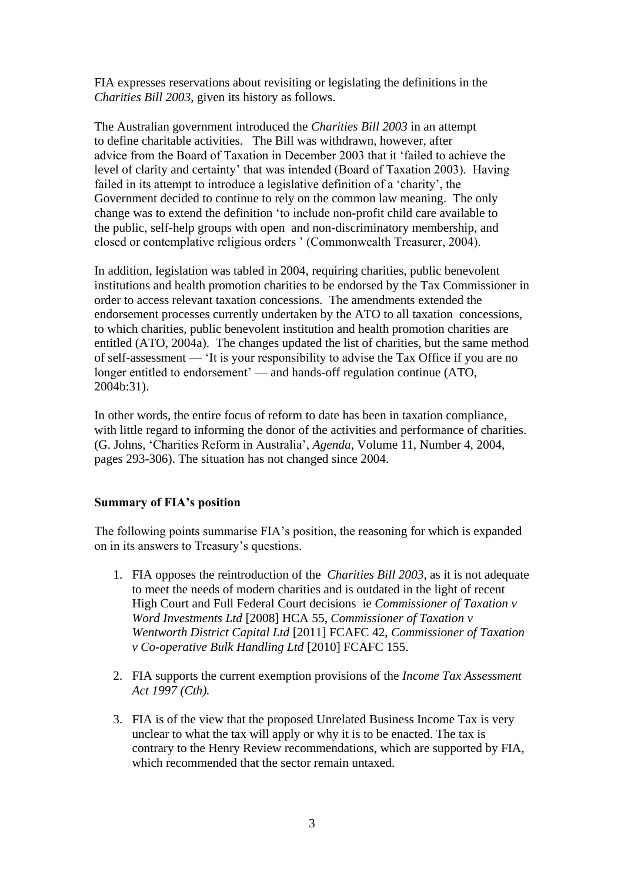FIA expresses reservations about revisiting or legislating the definitions in the *Charities Bill 2003*, given its history as follows.

The Australian government introduced the *Charities Bill 2003* in an attempt to define charitable activities. The Bill was withdrawn, however, after advice from the Board of Taxation in December 2003 that it 'failed to achieve the level of clarity and certainty' that was intended (Board of Taxation 2003). Having failed in its attempt to introduce a legislative definition of a 'charity', the Government decided to continue to rely on the common law meaning. The only change was to extend the definition 'to include non-profit child care available to the public, self-help groups with open and non-discriminatory membership, and closed or contemplative religious orders ' (Commonwealth Treasurer, 2004).

In addition, legislation was tabled in 2004, requiring charities, public benevolent institutions and health promotion charities to be endorsed by the Tax Commissioner in order to access relevant taxation concessions. The amendments extended the endorsement processes currently undertaken by the ATO to all taxation concessions, to which charities, public benevolent institution and health promotion charities are entitled (ATO, 2004a). The changes updated the list of charities, but the same method of self-assessment — 'It is your responsibility to advise the Tax Office if you are no longer entitled to endorsement' — and hands-off regulation continue (ATO, 2004b:31).

In other words, the entire focus of reform to date has been in taxation compliance, with little regard to informing the donor of the activities and performance of charities. (G. Johns, 'Charities Reform in Australia', *Agenda*, Volume 11, Number 4, 2004, pages 293-306). The situation has not changed since 2004.

#### **Summary of FIA's position**

The following points summarise FIA's position, the reasoning for which is expanded on in its answers to Treasury's questions.

- 1. FIA opposes the reintroduction of the *Charities Bill 2003*, as it is not adequate to meet the needs of modern charities and is outdated in the light of recent High Court and Full Federal Court decisions ie *Commissioner of Taxation v Word Investments Ltd* [2008] HCA 55, *Commissioner of Taxation v Wentworth District Capital Ltd* [2011] FCAFC 42, *Commissioner of Taxation v Co-operative Bulk Handling Ltd* [2010] FCAFC 155.
- 2. FIA supports the current exemption provisions of the *Income Tax Assessment Act 1997 (Cth).*
- 3. FIA is of the view that the proposed Unrelated Business Income Tax is very unclear to what the tax will apply or why it is to be enacted. The tax is contrary to the Henry Review recommendations, which are supported by FIA, which recommended that the sector remain untaxed.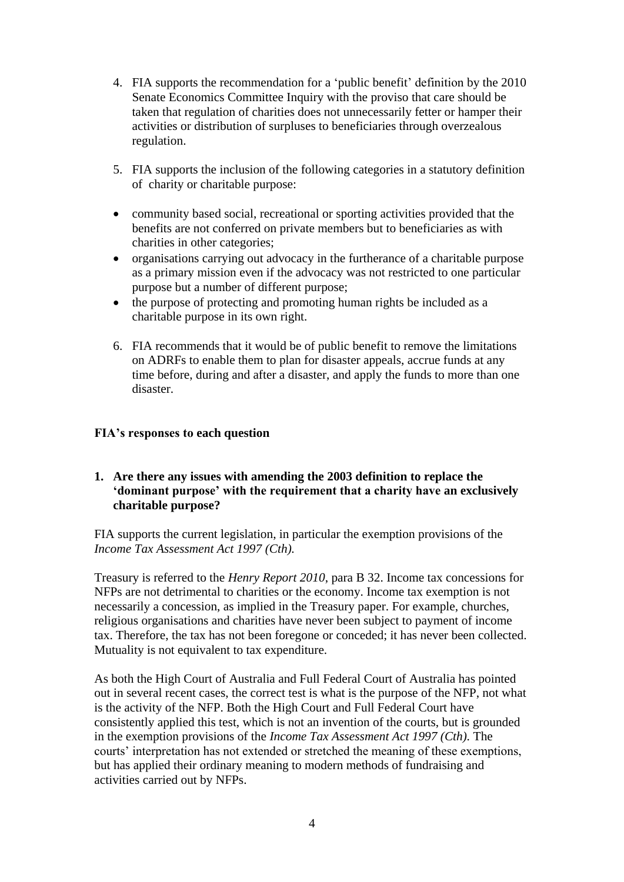- 4. FIA supports the recommendation for a 'public benefit' definition by the 2010 Senate Economics Committee Inquiry with the proviso that care should be taken that regulation of charities does not unnecessarily fetter or hamper their activities or distribution of surpluses to beneficiaries through overzealous regulation.
- 5. FIA supports the inclusion of the following categories in a statutory definition of charity or charitable purpose:
- community based social, recreational or sporting activities provided that the benefits are not conferred on private members but to beneficiaries as with charities in other categories;
- organisations carrying out advocacy in the furtherance of a charitable purpose as a primary mission even if the advocacy was not restricted to one particular purpose but a number of different purpose;
- the purpose of protecting and promoting human rights be included as a charitable purpose in its own right.
- 6. FIA recommends that it would be of public benefit to remove the limitations on ADRFs to enable them to plan for disaster appeals, accrue funds at any time before, during and after a disaster, and apply the funds to more than one disaster.

#### **FIA's responses to each question**

### **1. Are there any issues with amending the 2003 definition to replace the 'dominant purpose' with the requirement that a charity have an exclusively charitable purpose?**

FIA supports the current legislation, in particular the exemption provisions of the *Income Tax Assessment Act 1997 (Cth).*

Treasury is referred to the *Henry Report 2010*, para B 32. Income tax concessions for NFPs are not detrimental to charities or the economy. Income tax exemption is not necessarily a concession, as implied in the Treasury paper. For example, churches, religious organisations and charities have never been subject to payment of income tax. Therefore, the tax has not been foregone or conceded; it has never been collected. Mutuality is not equivalent to tax expenditure.

As both the High Court of Australia and Full Federal Court of Australia has pointed out in several recent cases, the correct test is what is the purpose of the NFP, not what is the activity of the NFP. Both the High Court and Full Federal Court have consistently applied this test, which is not an invention of the courts, but is grounded in the exemption provisions of the *Income Tax Assessment Act 1997 (Cth).* The courts' interpretation has not extended or stretched the meaning of these exemptions, but has applied their ordinary meaning to modern methods of fundraising and activities carried out by NFPs.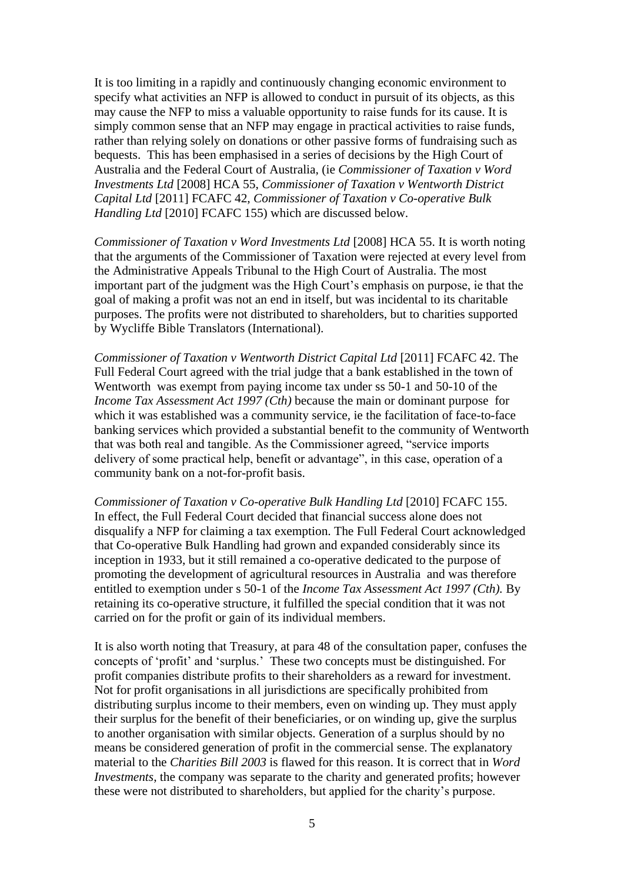It is too limiting in a rapidly and continuously changing economic environment to specify what activities an NFP is allowed to conduct in pursuit of its objects, as this may cause the NFP to miss a valuable opportunity to raise funds for its cause. It is simply common sense that an NFP may engage in practical activities to raise funds, rather than relying solely on donations or other passive forms of fundraising such as bequests. This has been emphasised in a series of decisions by the High Court of Australia and the Federal Court of Australia, (ie *Commissioner of Taxation v Word Investments Ltd* [2008] HCA 55, *Commissioner of Taxation v Wentworth District Capital Ltd* [2011] FCAFC 42, *Commissioner of Taxation v Co-operative Bulk Handling Ltd* [2010] FCAFC 155) which are discussed below.

*Commissioner of Taxation v Word Investments Ltd* [2008] HCA 55. It is worth noting that the arguments of the Commissioner of Taxation were rejected at every level from the Administrative Appeals Tribunal to the High Court of Australia. The most important part of the judgment was the High Court's emphasis on purpose, ie that the goal of making a profit was not an end in itself, but was incidental to its charitable purposes. The profits were not distributed to shareholders, but to charities supported by Wycliffe Bible Translators (International).

*Commissioner of Taxation v Wentworth District Capital Ltd* [2011] FCAFC 42. The Full Federal Court agreed with the trial judge that a bank established in the town of Wentworth was exempt from paying income tax under ss 50-1 and 50-10 of the *Income Tax Assessment Act 1997 (Cth)* because the main or dominant purpose for which it was established was a community service, ie the facilitation of face-to-face banking services which provided a substantial benefit to the community of Wentworth that was both real and tangible. As the Commissioner agreed, "service imports delivery of some practical help, benefit or advantage", in this case, operation of a community bank on a not-for-profit basis.

*Commissioner of Taxation v Co-operative Bulk Handling Ltd* [2010] FCAFC 155. In effect, the Full Federal Court decided that financial success alone does not disqualify a NFP for claiming a tax exemption. The Full Federal Court acknowledged that Co-operative Bulk Handling had grown and expanded considerably since its inception in 1933, but it still remained a co-operative dedicated to the purpose of promoting the development of agricultural resources in Australia and was therefore entitled to exemption under s 50-1 of the *Income Tax Assessment Act 1997 (Cth).* By retaining its co-operative structure, it fulfilled the special condition that it was not carried on for the profit or gain of its individual members.

It is also worth noting that Treasury, at para 48 of the consultation paper, confuses the concepts of 'profit' and 'surplus.' These two concepts must be distinguished. For profit companies distribute profits to their shareholders as a reward for investment. Not for profit organisations in all jurisdictions are specifically prohibited from distributing surplus income to their members, even on winding up. They must apply their surplus for the benefit of their beneficiaries, or on winding up, give the surplus to another organisation with similar objects. Generation of a surplus should by no means be considered generation of profit in the commercial sense. The explanatory material to the *Charities Bill 2003* is flawed for this reason. It is correct that in *Word Investments*, the company was separate to the charity and generated profits; however these were not distributed to shareholders, but applied for the charity's purpose.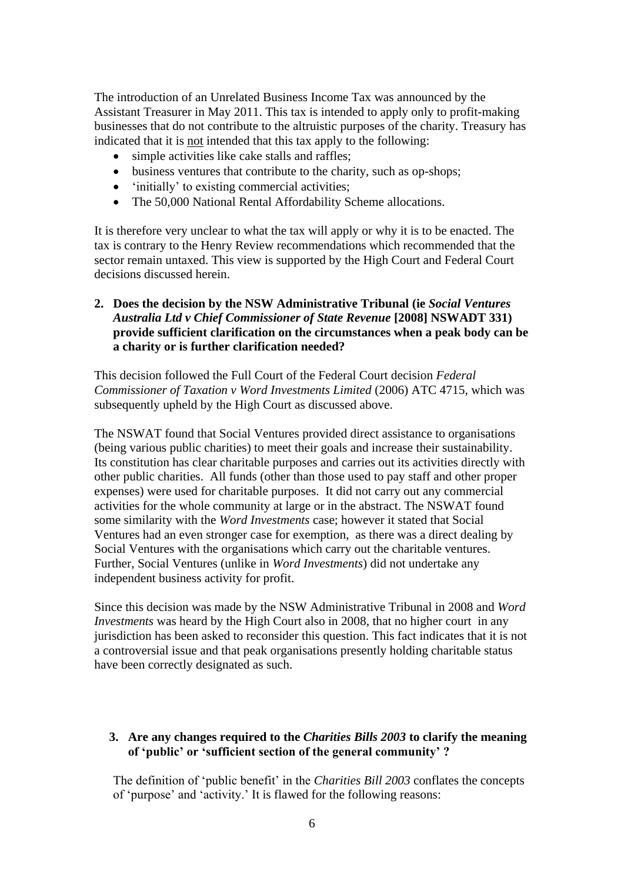The introduction of an Unrelated Business Income Tax was announced by the Assistant Treasurer in May 2011. This tax is intended to apply only to profit-making businesses that do not contribute to the altruistic purposes of the charity. Treasury has indicated that it is not intended that this tax apply to the following:

- simple activities like cake stalls and raffles;
- business ventures that contribute to the charity, such as op-shops;
- 'initially' to existing commercial activities;
- The 50,000 National Rental Affordability Scheme allocations.

It is therefore very unclear to what the tax will apply or why it is to be enacted. The tax is contrary to the Henry Review recommendations which recommended that the sector remain untaxed. This view is supported by the High Court and Federal Court decisions discussed herein.

### **2. Does the decision by the NSW Administrative Tribunal (ie** *Social Ventures Australia Ltd v Chief Commissioner of State Revenue* **[2008] NSWADT 331) provide sufficient clarification on the circumstances when a peak body can be a charity or is further clarification needed?**

This decision followed the Full Court of the Federal Court decision *Federal Commissioner of Taxation v Word Investments Limited* (2006) ATC 4715, which was subsequently upheld by the High Court as discussed above.

The NSWAT found that Social Ventures provided direct assistance to organisations (being various public charities) to meet their goals and increase their sustainability. Its constitution has clear charitable purposes and carries out its activities directly with other public charities. All funds (other than those used to pay staff and other proper expenses) were used for charitable purposes. It did not carry out any commercial activities for the whole community at large or in the abstract. The NSWAT found some similarity with the *Word Investments* case; however it stated that Social Ventures had an even stronger case for exemption, as there was a direct dealing by Social Ventures with the organisations which carry out the charitable ventures. Further, Social Ventures (unlike in *Word Investments*) did not undertake any independent business activity for profit.

Since this decision was made by the NSW Administrative Tribunal in 2008 and *Word Investments* was heard by the High Court also in 2008, that no higher court in any jurisdiction has been asked to reconsider this question. This fact indicates that it is not a controversial issue and that peak organisations presently holding charitable status have been correctly designated as such.

#### **3. Are any changes required to the** *Charities Bills 2003* **to clarify the meaning of 'public' or 'sufficient section of the general community' ?**

The definition of 'public benefit' in the *Charities Bill 2003* conflates the concepts of 'purpose' and 'activity.' It is flawed for the following reasons: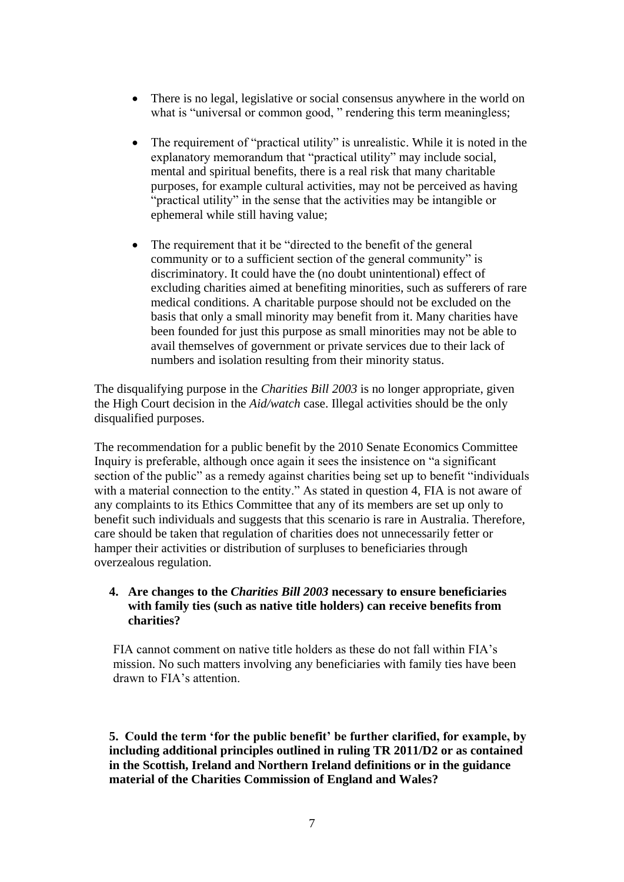- There is no legal, legislative or social consensus anywhere in the world on what is "universal or common good," rendering this term meaningless;
- The requirement of "practical utility" is unrealistic. While it is noted in the explanatory memorandum that "practical utility" may include social, mental and spiritual benefits, there is a real risk that many charitable purposes, for example cultural activities, may not be perceived as having "practical utility" in the sense that the activities may be intangible or ephemeral while still having value;
- The requirement that it be "directed to the benefit of the general community or to a sufficient section of the general community" is discriminatory. It could have the (no doubt unintentional) effect of excluding charities aimed at benefiting minorities, such as sufferers of rare medical conditions. A charitable purpose should not be excluded on the basis that only a small minority may benefit from it. Many charities have been founded for just this purpose as small minorities may not be able to avail themselves of government or private services due to their lack of numbers and isolation resulting from their minority status.

The disqualifying purpose in the *Charities Bill 2003* is no longer appropriate, given the High Court decision in the *Aid/watch* case. Illegal activities should be the only disqualified purposes.

The recommendation for a public benefit by the 2010 Senate Economics Committee Inquiry is preferable, although once again it sees the insistence on "a significant section of the public" as a remedy against charities being set up to benefit "individuals" with a material connection to the entity." As stated in question 4, FIA is not aware of any complaints to its Ethics Committee that any of its members are set up only to benefit such individuals and suggests that this scenario is rare in Australia. Therefore, care should be taken that regulation of charities does not unnecessarily fetter or hamper their activities or distribution of surpluses to beneficiaries through overzealous regulation.

#### **4. Are changes to the** *Charities Bill 2003* **necessary to ensure beneficiaries with family ties (such as native title holders) can receive benefits from charities?**

FIA cannot comment on native title holders as these do not fall within FIA's mission. No such matters involving any beneficiaries with family ties have been drawn to FIA's attention.

**5. Could the term 'for the public benefit' be further clarified, for example, by including additional principles outlined in ruling TR 2011/D2 or as contained in the Scottish, Ireland and Northern Ireland definitions or in the guidance material of the Charities Commission of England and Wales?**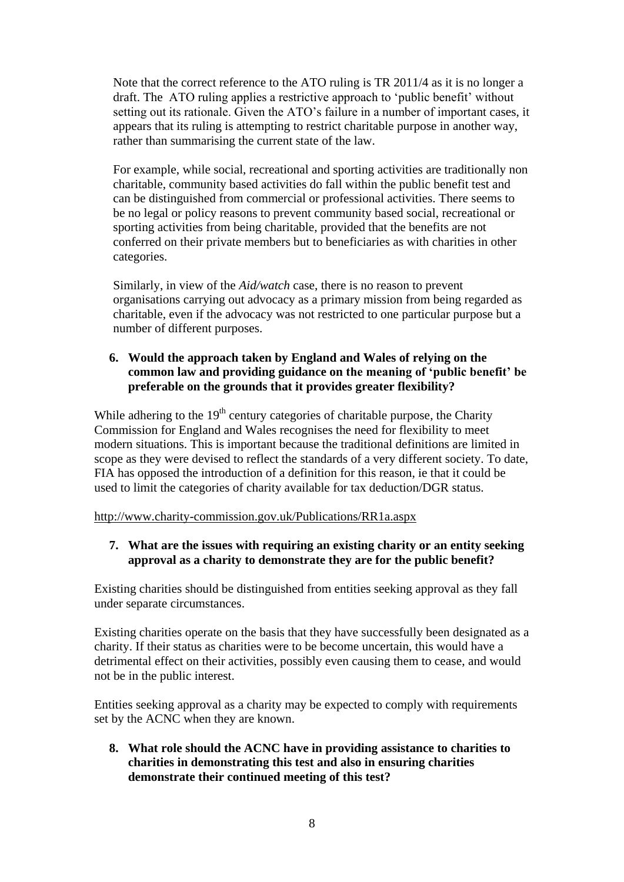Note that the correct reference to the ATO ruling is TR 2011/4 as it is no longer a draft. The ATO ruling applies a restrictive approach to 'public benefit' without setting out its rationale. Given the ATO's failure in a number of important cases, it appears that its ruling is attempting to restrict charitable purpose in another way, rather than summarising the current state of the law.

For example, while social, recreational and sporting activities are traditionally non charitable, community based activities do fall within the public benefit test and can be distinguished from commercial or professional activities. There seems to be no legal or policy reasons to prevent community based social, recreational or sporting activities from being charitable, provided that the benefits are not conferred on their private members but to beneficiaries as with charities in other categories.

Similarly, in view of the *Aid/watch* case, there is no reason to prevent organisations carrying out advocacy as a primary mission from being regarded as charitable, even if the advocacy was not restricted to one particular purpose but a number of different purposes.

## **6. Would the approach taken by England and Wales of relying on the common law and providing guidance on the meaning of 'public benefit' be preferable on the grounds that it provides greater flexibility?**

While adhering to the  $19<sup>th</sup>$  century categories of charitable purpose, the Charity Commission for England and Wales recognises the need for flexibility to meet modern situations. This is important because the traditional definitions are limited in scope as they were devised to reflect the standards of a very different society. To date, FIA has opposed the introduction of a definition for this reason, ie that it could be used to limit the categories of charity available for tax deduction/DGR status.

<http://www.charity-commission.gov.uk/Publications/RR1a.aspx>

## **7. What are the issues with requiring an existing charity or an entity seeking approval as a charity to demonstrate they are for the public benefit?**

Existing charities should be distinguished from entities seeking approval as they fall under separate circumstances.

Existing charities operate on the basis that they have successfully been designated as a charity. If their status as charities were to be become uncertain, this would have a detrimental effect on their activities, possibly even causing them to cease, and would not be in the public interest.

Entities seeking approval as a charity may be expected to comply with requirements set by the ACNC when they are known.

**8. What role should the ACNC have in providing assistance to charities to charities in demonstrating this test and also in ensuring charities demonstrate their continued meeting of this test?**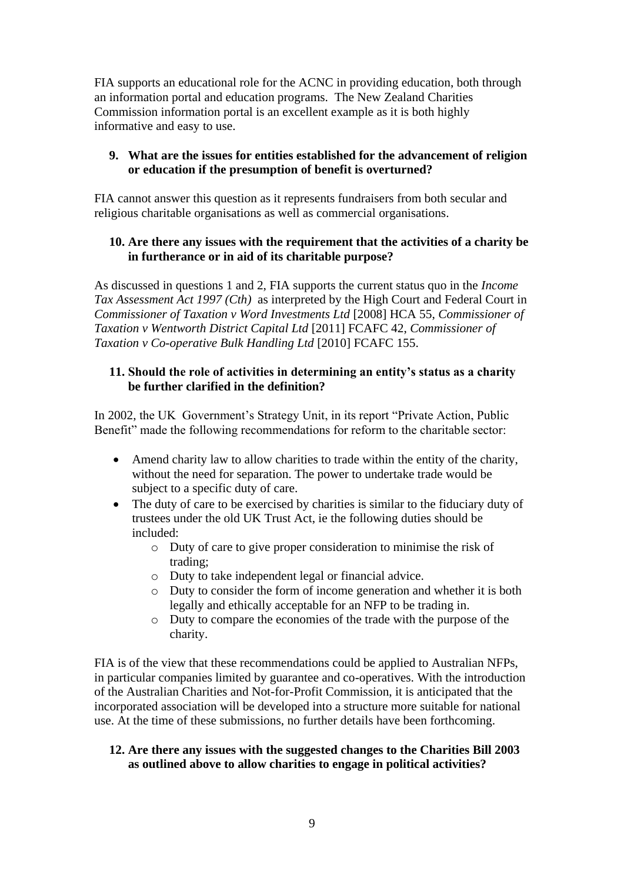FIA supports an educational role for the ACNC in providing education, both through an information portal and education programs. The New Zealand Charities Commission information portal is an excellent example as it is both highly informative and easy to use.

## **9. What are the issues for entities established for the advancement of religion or education if the presumption of benefit is overturned?**

FIA cannot answer this question as it represents fundraisers from both secular and religious charitable organisations as well as commercial organisations.

## **10. Are there any issues with the requirement that the activities of a charity be in furtherance or in aid of its charitable purpose?**

As discussed in questions 1 and 2, FIA supports the current status quo in the *Income Tax Assessment Act 1997 (Cth)* as interpreted by the High Court and Federal Court in *Commissioner of Taxation v Word Investments Ltd* [2008] HCA 55, *Commissioner of Taxation v Wentworth District Capital Ltd* [2011] FCAFC 42, *Commissioner of Taxation v Co-operative Bulk Handling Ltd* [2010] FCAFC 155.

### **11. Should the role of activities in determining an entity's status as a charity be further clarified in the definition?**

In 2002, the UK Government's Strategy Unit, in its report "Private Action, Public Benefit" made the following recommendations for reform to the charitable sector:

- Amend charity law to allow charities to trade within the entity of the charity, without the need for separation. The power to undertake trade would be subject to a specific duty of care.
- The duty of care to be exercised by charities is similar to the fiduciary duty of trustees under the old UK Trust Act, ie the following duties should be included:
	- o Duty of care to give proper consideration to minimise the risk of trading;
	- o Duty to take independent legal or financial advice.
	- o Duty to consider the form of income generation and whether it is both legally and ethically acceptable for an NFP to be trading in.
	- o Duty to compare the economies of the trade with the purpose of the charity.

FIA is of the view that these recommendations could be applied to Australian NFPs, in particular companies limited by guarantee and co-operatives. With the introduction of the Australian Charities and Not-for-Profit Commission, it is anticipated that the incorporated association will be developed into a structure more suitable for national use. At the time of these submissions, no further details have been forthcoming.

## **12. Are there any issues with the suggested changes to the Charities Bill 2003 as outlined above to allow charities to engage in political activities?**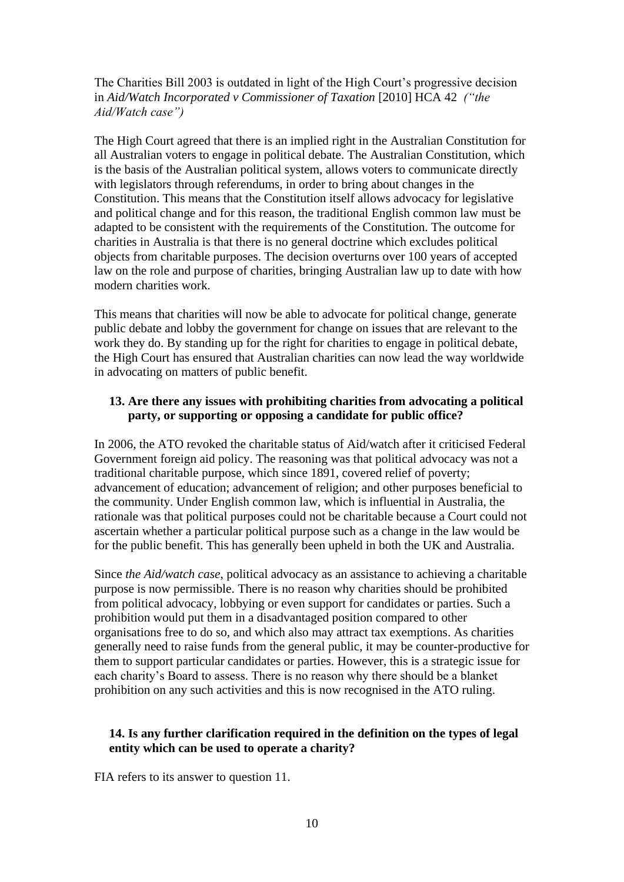The Charities Bill 2003 is outdated in light of the High Court's progressive decision in *Aid/Watch Incorporated v Commissioner of Taxation* [2010] HCA 42*("the Aid/Watch case")*

The High Court agreed that there is an implied right in the Australian Constitution for all Australian voters to engage in political debate. The Australian Constitution, which is the basis of the Australian political system, allows voters to communicate directly with legislators through referendums, in order to bring about changes in the Constitution. This means that the Constitution itself allows advocacy for legislative and political change and for this reason, the traditional English common law must be adapted to be consistent with the requirements of the Constitution. The outcome for charities in Australia is that there is no general doctrine which excludes political objects from charitable purposes. The decision overturns over 100 years of accepted law on the role and purpose of charities, bringing Australian law up to date with how modern charities work.

This means that charities will now be able to advocate for political change, generate public debate and lobby the government for change on issues that are relevant to the work they do. By standing up for the right for charities to engage in political debate, the High Court has ensured that Australian charities can now lead the way worldwide in advocating on matters of public benefit.

#### **13. Are there any issues with prohibiting charities from advocating a political party, or supporting or opposing a candidate for public office?**

In 2006, the ATO revoked the charitable status of Aid/watch after it criticised Federal Government foreign aid policy. The reasoning was that political advocacy was not a traditional charitable purpose, which since 1891, covered relief of poverty; advancement of education; advancement of religion; and other purposes beneficial to the community. Under English common law, which is influential in Australia, the rationale was that political purposes could not be charitable because a Court could not ascertain whether a particular political purpose such as a change in the law would be for the public benefit. This has generally been upheld in both the UK and Australia.

Since *the Aid/watch case*, political advocacy as an assistance to achieving a charitable purpose is now permissible. There is no reason why charities should be prohibited from political advocacy, lobbying or even support for candidates or parties. Such a prohibition would put them in a disadvantaged position compared to other organisations free to do so, and which also may attract tax exemptions. As charities generally need to raise funds from the general public, it may be counter-productive for them to support particular candidates or parties. However, this is a strategic issue for each charity's Board to assess. There is no reason why there should be a blanket prohibition on any such activities and this is now recognised in the ATO ruling.

## **14. Is any further clarification required in the definition on the types of legal entity which can be used to operate a charity?**

FIA refers to its answer to question 11.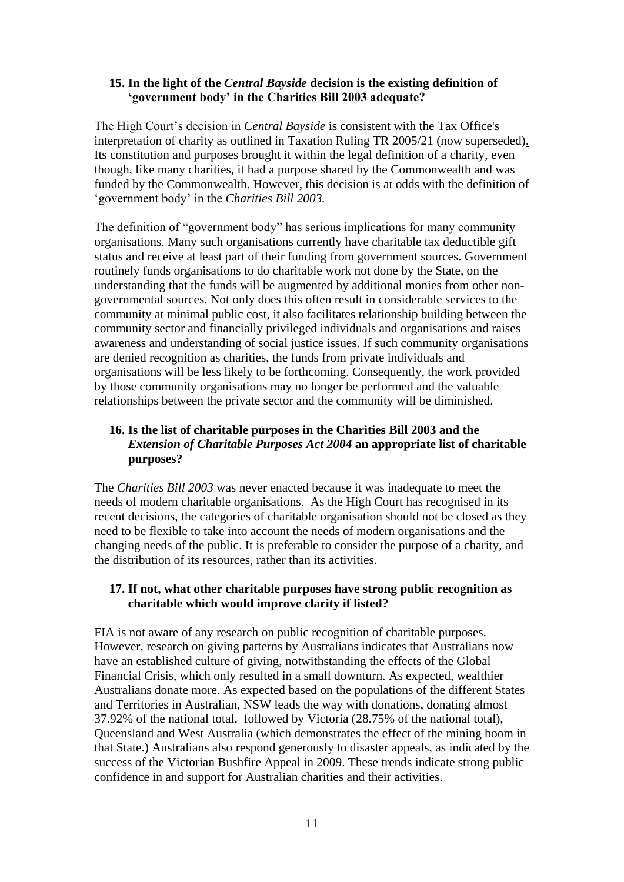#### **15. In the light of the** *Central Bayside* **decision is the existing definition of 'government body' in the Charities Bill 2003 adequate?**

The High Court's decision in *Central Bayside* is consistent with the Tax Office's interpretation of charity as outlined in [Taxation Ruling TR 2005/21](http://law.ato.gov.au/view.htm?DocID=TXR/TR200521/NAT/ATO/00001) (now superseded). Its constitution and purposes brought it within the legal definition of a charity, even though, like many charities, it had a purpose shared by the Commonwealth and was funded by the Commonwealth. However, this decision is at odds with the definition of 'government body' in the *Charities Bill 2003.*

The definition of "government body" has serious implications for many community organisations. Many such organisations currently have charitable tax deductible gift status and receive at least part of their funding from government sources. Government routinely funds organisations to do charitable work not done by the State, on the understanding that the funds will be augmented by additional monies from other nongovernmental sources. Not only does this often result in considerable services to the community at minimal public cost, it also facilitates relationship building between the community sector and financially privileged individuals and organisations and raises awareness and understanding of social justice issues. If such community organisations are denied recognition as charities, the funds from private individuals and organisations will be less likely to be forthcoming. Consequently, the work provided by those community organisations may no longer be performed and the valuable relationships between the private sector and the community will be diminished.

## **16. Is the list of charitable purposes in the Charities Bill 2003 and the**  *Extension of Charitable Purposes Act 2004* **an appropriate list of charitable purposes?**

The *Charities Bill 2003* was never enacted because it was inadequate to meet the needs of modern charitable organisations. As the High Court has recognised in its recent decisions, the categories of charitable organisation should not be closed as they need to be flexible to take into account the needs of modern organisations and the changing needs of the public. It is preferable to consider the purpose of a charity, and the distribution of its resources, rather than its activities.

## **17. If not, what other charitable purposes have strong public recognition as charitable which would improve clarity if listed?**

FIA is not aware of any research on public recognition of charitable purposes. However, research on giving patterns by Australians indicates that Australians now have an established culture of giving, notwithstanding the effects of the Global Financial Crisis, which only resulted in a small downturn. As expected, wealthier Australians donate more. As expected based on the populations of the different States and Territories in Australian, NSW leads the way with donations, donating almost 37.92% of the national total, followed by Victoria (28.75% of the national total), Queensland and West Australia (which demonstrates the effect of the mining boom in that State.) Australians also respond generously to disaster appeals, as indicated by the success of the Victorian Bushfire Appeal in 2009. These trends indicate strong public confidence in and support for Australian charities and their activities.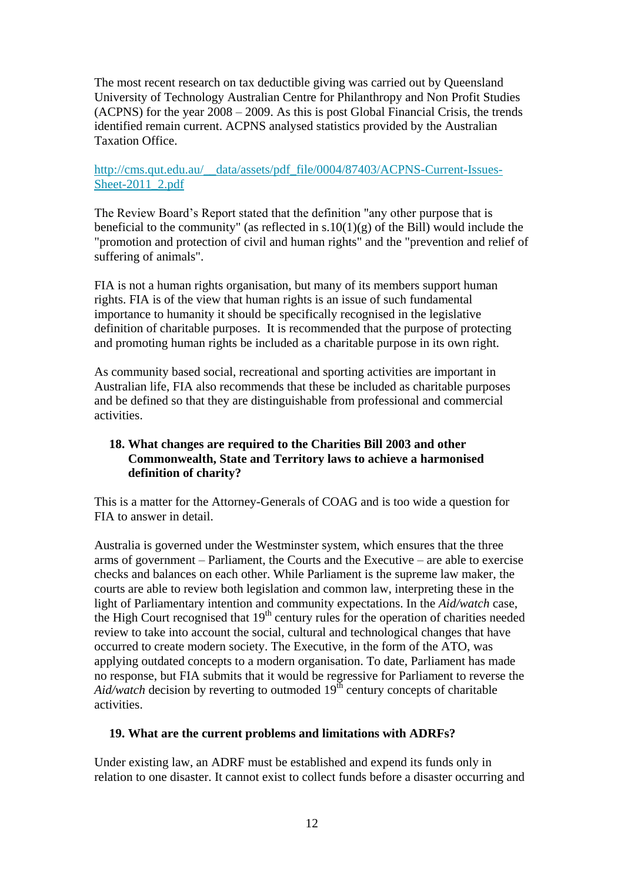The most recent research on tax deductible giving was carried out by Queensland University of Technology Australian Centre for Philanthropy and Non Profit Studies (ACPNS) for the year 2008 – 2009. As this is post Global Financial Crisis, the trends identified remain current. ACPNS analysed statistics provided by the Australian Taxation Office.

## [http://cms.qut.edu.au/\\_\\_data/assets/pdf\\_file/0004/87403/ACPNS-Current-Issues-](http://cms.qut.edu.au/__data/assets/pdf_file/0004/87403/ACPNS-Current-Issues-Sheet-2011_2.pdf)[Sheet-2011\\_2.pdf](http://cms.qut.edu.au/__data/assets/pdf_file/0004/87403/ACPNS-Current-Issues-Sheet-2011_2.pdf)

The Review Board's Report stated that the definition "any other purpose that is beneficial to the community" (as reflected in  $s.10(1)(g)$  of the Bill) would include the "promotion and protection of civil and human rights" and the "prevention and relief of suffering of animals".

FIA is not a human rights organisation, but many of its members support human rights. FIA is of the view that human rights is an issue of such fundamental importance to humanity it should be specifically recognised in the legislative definition of charitable purposes. It is recommended that the purpose of protecting and promoting human rights be included as a charitable purpose in its own right.

As community based social, recreational and sporting activities are important in Australian life, FIA also recommends that these be included as charitable purposes and be defined so that they are distinguishable from professional and commercial activities.

## **18. What changes are required to the Charities Bill 2003 and other Commonwealth, State and Territory laws to achieve a harmonised definition of charity?**

This is a matter for the Attorney-Generals of COAG and is too wide a question for FIA to answer in detail.

Australia is governed under the Westminster system, which ensures that the three arms of government – Parliament, the Courts and the Executive – are able to exercise checks and balances on each other. While Parliament is the supreme law maker, the courts are able to review both legislation and common law, interpreting these in the light of Parliamentary intention and community expectations. In the *Aid/watch* case, the High Court recognised that  $19<sup>th</sup>$  century rules for the operation of charities needed review to take into account the social, cultural and technological changes that have occurred to create modern society. The Executive, in the form of the ATO, was applying outdated concepts to a modern organisation. To date, Parliament has made no response, but FIA submits that it would be regressive for Parliament to reverse the  $Aid/watch$  decision by reverting to outmoded  $19<sup>th</sup>$  century concepts of charitable activities.

#### **19. What are the current problems and limitations with ADRFs?**

Under existing law, an ADRF must be established and expend its funds only in relation to one disaster. It cannot exist to collect funds before a disaster occurring and